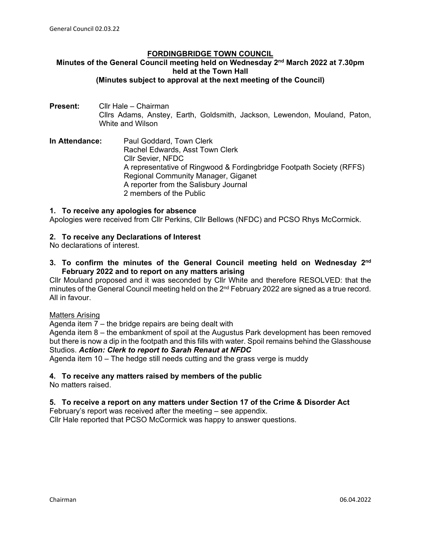#### **FORDINGBRIDGE TOWN COUNCIL**

#### **Minutes of the General Council meeting held on Wednesday 2nd March 2022 at 7.30pm held at the Town Hall (Minutes subject to approval at the next meeting of the Council)**

- **Present:** Cllr Hale Chairman Cllrs Adams, Anstey, Earth, Goldsmith, Jackson, Lewendon, Mouland, Paton, White and Wilson
- **In Attendance:** Paul Goddard, Town Clerk Rachel Edwards, Asst Town Clerk Cllr Sevier, NFDC A representative of Ringwood & Fordingbridge Footpath Society (RFFS) Regional Community Manager, Giganet A reporter from the Salisbury Journal 2 members of the Public

#### **1. To receive any apologies for absence**

Apologies were received from Cllr Perkins, Cllr Bellows (NFDC) and PCSO Rhys McCormick.

# **2. To receive any Declarations of Interest**

No declarations of interest.

**3. To confirm the minutes of the General Council meeting held on Wednesday 2nd February 2022 and to report on any matters arising**

Cllr Mouland proposed and it was seconded by Cllr White and therefore RESOLVED: that the minutes of the General Council meeting held on the 2<sup>nd</sup> February 2022 are signed as a true record. All in favour.

#### Matters Arising

Agenda item 7 – the bridge repairs are being dealt with

Agenda item 8 – the embankment of spoil at the Augustus Park development has been removed but there is now a dip in the footpath and this fills with water. Spoil remains behind the Glasshouse Studios. *Action: Clerk to report to Sarah Renaut at NFDC*

Agenda item 10 – The hedge still needs cutting and the grass verge is muddy

# **4. To receive any matters raised by members of the public**

No matters raised.

# **5. To receive a report on any matters under Section 17 of the Crime & Disorder Act**

February's report was received after the meeting – see appendix. Cllr Hale reported that PCSO McCormick was happy to answer questions.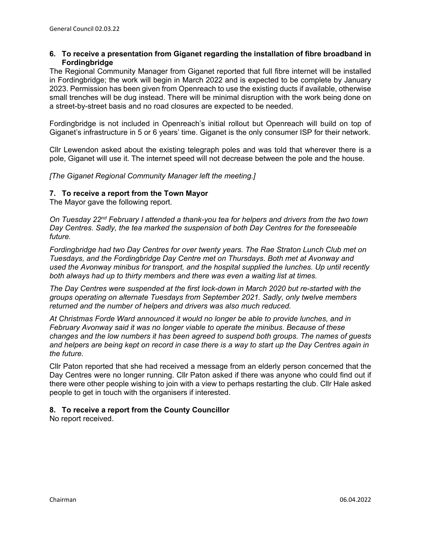#### **6. To receive a presentation from Giganet regarding the installation of fibre broadband in Fordingbridge**

The Regional Community Manager from Giganet reported that full fibre internet will be installed in Fordingbridge; the work will begin in March 2022 and is expected to be complete by January 2023. Permission has been given from Openreach to use the existing ducts if available, otherwise small trenches will be dug instead. There will be minimal disruption with the work being done on a street-by-street basis and no road closures are expected to be needed.

Fordingbridge is not included in Openreach's initial rollout but Openreach will build on top of Giganet's infrastructure in 5 or 6 years' time. Giganet is the only consumer ISP for their network.

Cllr Lewendon asked about the existing telegraph poles and was told that wherever there is a pole, Giganet will use it. The internet speed will not decrease between the pole and the house.

*[The Giganet Regional Community Manager left the meeting.]*

#### **7. To receive a report from the Town Mayor**

The Mayor gave the following report.

*On Tuesday 22nd February I attended a thank-you tea for helpers and drivers from the two town Day Centres. Sadly, the tea marked the suspension of both Day Centres for the foreseeable future.*

*Fordingbridge had two Day Centres for over twenty years. The Rae Straton Lunch Club met on Tuesdays, and the Fordingbridge Day Centre met on Thursdays. Both met at Avonway and used the Avonway minibus for transport, and the hospital supplied the lunches. Up until recently both always had up to thirty members and there was even a waiting list at times.*

*The Day Centres were suspended at the first lock-down in March 2020 but re-started with the groups operating on alternate Tuesdays from September 2021. Sadly, only twelve members returned and the number of helpers and drivers was also much reduced.*

*At Christmas Forde Ward announced it would no longer be able to provide lunches, and in February Avonway said it was no longer viable to operate the minibus. Because of these changes and the low numbers it has been agreed to suspend both groups. The names of guests and helpers are being kept on record in case there is a way to start up the Day Centres again in the future.*

Cllr Paton reported that she had received a message from an elderly person concerned that the Day Centres were no longer running. Cllr Paton asked if there was anyone who could find out if there were other people wishing to join with a view to perhaps restarting the club. Cllr Hale asked people to get in touch with the organisers if interested.

#### **8. To receive a report from the County Councillor**

No report received.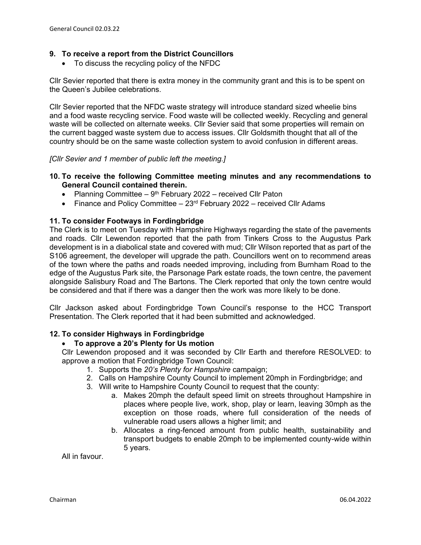# **9. To receive a report from the District Councillors**

• To discuss the recycling policy of the NFDC

Cllr Sevier reported that there is extra money in the community grant and this is to be spent on the Queen's Jubilee celebrations.

Cllr Sevier reported that the NFDC waste strategy will introduce standard sized wheelie bins and a food waste recycling service. Food waste will be collected weekly. Recycling and general waste will be collected on alternate weeks. Cllr Sevier said that some properties will remain on the current bagged waste system due to access issues. Cllr Goldsmith thought that all of the country should be on the same waste collection system to avoid confusion in different areas.

#### *[Cllr Sevier and 1 member of public left the meeting.]*

#### **10. To receive the following Committee meeting minutes and any recommendations to General Council contained therein.**

- Planning Committee  $9<sup>th</sup>$  February 2022 received Cllr Paton
- Finance and Policy Committee  $-23$ <sup>rd</sup> February 2022 received Cllr Adams

#### **11. To consider Footways in Fordingbridge**

The Clerk is to meet on Tuesday with Hampshire Highways regarding the state of the pavements and roads. Cllr Lewendon reported that the path from Tinkers Cross to the Augustus Park development is in a diabolical state and covered with mud; Cllr Wilson reported that as part of the S106 agreement, the developer will upgrade the path. Councillors went on to recommend areas of the town where the paths and roads needed improving, including from Burnham Road to the edge of the Augustus Park site, the Parsonage Park estate roads, the town centre, the pavement alongside Salisbury Road and The Bartons. The Clerk reported that only the town centre would be considered and that if there was a danger then the work was more likely to be done.

Cllr Jackson asked about Fordingbridge Town Council's response to the HCC Transport Presentation. The Clerk reported that it had been submitted and acknowledged.

#### **12. To consider Highways in Fordingbridge**

#### • **To approve a 20's Plenty for Us motion**

Cllr Lewendon proposed and it was seconded by Cllr Earth and therefore RESOLVED: to approve a motion that Fordingbridge Town Council:

- 1. Supports the *20's Plenty for Hampshire* campaign;
- 2. Calls on Hampshire County Council to implement 20mph in Fordingbridge; and
- 3. Will write to Hampshire County Council to request that the county:
	- a. Makes 20mph the default speed limit on streets throughout Hampshire in places where people live, work, shop, play or learn, leaving 30mph as the exception on those roads, where full consideration of the needs of vulnerable road users allows a higher limit; and
	- b. Allocates a ring-fenced amount from public health, sustainability and transport budgets to enable 20mph to be implemented county-wide within 5 years.

All in favour.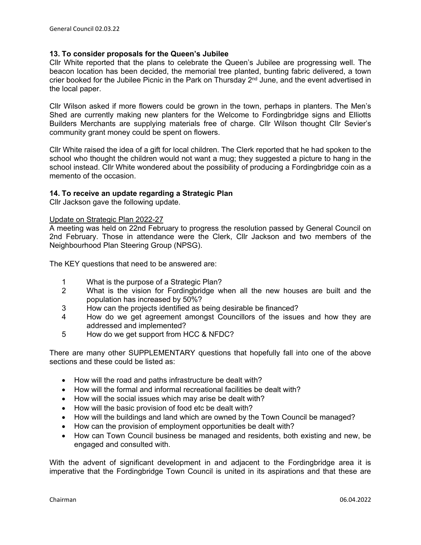#### **13. To consider proposals for the Queen's Jubilee**

Cllr White reported that the plans to celebrate the Queen's Jubilee are progressing well. The beacon location has been decided, the memorial tree planted, bunting fabric delivered, a town crier booked for the Jubilee Picnic in the Park on Thursday  $2<sup>nd</sup>$  June, and the event advertised in the local paper.

Cllr Wilson asked if more flowers could be grown in the town, perhaps in planters. The Men's Shed are currently making new planters for the Welcome to Fordingbridge signs and Elliotts Builders Merchants are supplying materials free of charge. Cllr Wilson thought Cllr Sevier's community grant money could be spent on flowers.

Cllr White raised the idea of a gift for local children. The Clerk reported that he had spoken to the school who thought the children would not want a mug; they suggested a picture to hang in the school instead. Cllr White wondered about the possibility of producing a Fordingbridge coin as a memento of the occasion.

# **14. To receive an update regarding a Strategic Plan**

Cllr Jackson gave the following update.

#### Update on Strategic Plan 2022-27

A meeting was held on 22nd February to progress the resolution passed by General Council on 2nd February. Those in attendance were the Clerk, Cllr Jackson and two members of the Neighbourhood Plan Steering Group (NPSG).

The KEY questions that need to be answered are:

- 1 What is the purpose of a Strategic Plan?
- 2 What is the vision for Fordingbridge when all the new houses are built and the population has increased by 50%?
- 3 How can the projects identified as being desirable be financed?
- 4 How do we get agreement amongst Councillors of the issues and how they are addressed and implemented?
- 5 How do we get support from HCC & NFDC?

There are many other SUPPLEMENTARY questions that hopefully fall into one of the above sections and these could be listed as:

- How will the road and paths infrastructure be dealt with?
- How will the formal and informal recreational facilities be dealt with?
- How will the social issues which may arise be dealt with?
- How will the basic provision of food etc be dealt with?
- How will the buildings and land which are owned by the Town Council be managed?
- How can the provision of employment opportunities be dealt with?
- How can Town Council business be managed and residents, both existing and new, be engaged and consulted with.

With the advent of significant development in and adjacent to the Fordingbridge area it is imperative that the Fordingbridge Town Council is united in its aspirations and that these are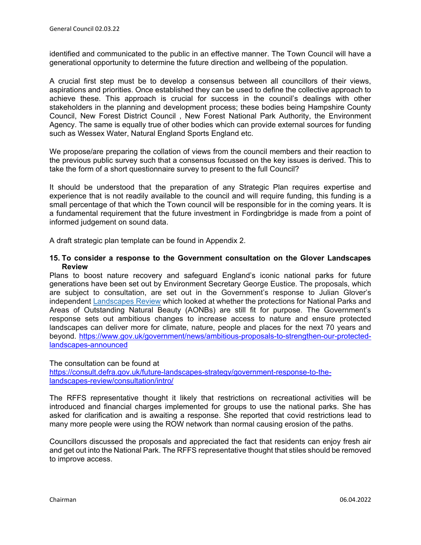identified and communicated to the public in an effective manner. The Town Council will have a generational opportunity to determine the future direction and wellbeing of the population.

A crucial first step must be to develop a consensus between all councillors of their views, aspirations and priorities. Once established they can be used to define the collective approach to achieve these. This approach is crucial for success in the council's dealings with other stakeholders in the planning and development process; these bodies being Hampshire County Council, New Forest District Council , New Forest National Park Authority, the Environment Agency. The same is equally true of other bodies which can provide external sources for funding such as Wessex Water, Natural England Sports England etc.

We propose/are preparing the collation of views from the council members and their reaction to the previous public survey such that a consensus focussed on the key issues is derived. This to take the form of a short questionnaire survey to present to the full Council?

It should be understood that the preparation of any Strategic Plan requires expertise and experience that is not readily available to the council and will require funding, this funding is a small percentage of that which the Town council will be responsible for in the coming years. It is a fundamental requirement that the future investment in Fordingbridge is made from a point of informed judgement on sound data.

A draft strategic plan template can be found in Appendix 2.

#### **15. To consider a response to the Government consultation on the Glover Landscapes Review**

Plans to boost nature recovery and safeguard England's iconic national parks for future generations have been set out by Environment Secretary George Eustice. The proposals, which are subject to consultation, are set out in the Government's response to Julian Glover's independent [Landscapes Review](https://www.gov.uk/government/publications/designated-landscapes-national-parks-and-aonbs-2018-review) which looked at whether the protections for National Parks and Areas of Outstanding Natural Beauty (AONBs) are still fit for purpose. The Government's response sets out ambitious changes to increase access to nature and ensure protected landscapes can deliver more for climate, nature, people and places for the next 70 years and beyond. [https://www.gov.uk/government/news/ambitious-proposals-to-strengthen-our-protected](https://www.gov.uk/government/news/ambitious-proposals-to-strengthen-our-protected-landscapes-announced)[landscapes-announced](https://www.gov.uk/government/news/ambitious-proposals-to-strengthen-our-protected-landscapes-announced) 

#### The consultation can be found at

[https://consult.defra.gov.uk/future-landscapes-strategy/government-response-to-the](https://consult.defra.gov.uk/future-landscapes-strategy/government-response-to-the-landscapes-review/consultation/intro/)[landscapes-review/consultation/intro/](https://consult.defra.gov.uk/future-landscapes-strategy/government-response-to-the-landscapes-review/consultation/intro/)

The RFFS representative thought it likely that restrictions on recreational activities will be introduced and financial charges implemented for groups to use the national parks. She has asked for clarification and is awaiting a response. She reported that covid restrictions lead to many more people were using the ROW network than normal causing erosion of the paths.

Councillors discussed the proposals and appreciated the fact that residents can enjoy fresh air and get out into the National Park. The RFFS representative thought that stiles should be removed to improve access.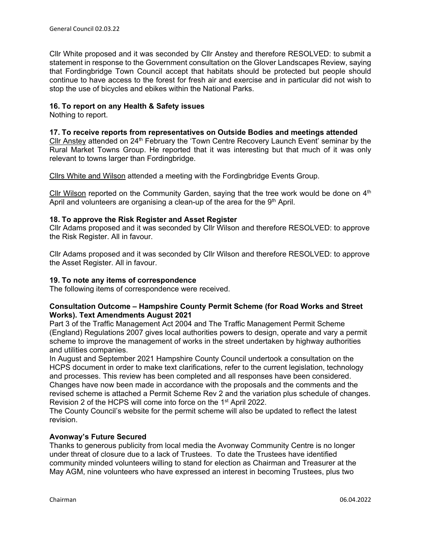Cllr White proposed and it was seconded by Cllr Anstey and therefore RESOLVED: to submit a statement in response to the Government consultation on the Glover Landscapes Review, saying that Fordingbridge Town Council accept that habitats should be protected but people should continue to have access to the forest for fresh air and exercise and in particular did not wish to stop the use of bicycles and ebikes within the National Parks.

#### **16. To report on any Health & Safety issues**

Nothing to report.

#### **17. To receive reports from representatives on Outside Bodies and meetings attended**

Cllr Anstey attended on 24th February the 'Town Centre Recovery Launch Event' seminar by the Rural Market Towns Group. He reported that it was interesting but that much of it was only relevant to towns larger than Fordingbridge.

Cllrs White and Wilson attended a meeting with the Fordingbridge Events Group.

Cllr Wilson reported on the Community Garden, saying that the tree work would be done on  $4<sup>th</sup>$ April and volunteers are organising a clean-up of the area for the  $9<sup>th</sup>$  April.

#### **18. To approve the Risk Register and Asset Register**

Cllr Adams proposed and it was seconded by Cllr Wilson and therefore RESOLVED: to approve the Risk Register. All in favour.

Cllr Adams proposed and it was seconded by Cllr Wilson and therefore RESOLVED: to approve the Asset Register. All in favour.

#### **19. To note any items of correspondence**

The following items of correspondence were received.

#### **Consultation Outcome – Hampshire County Permit Scheme (for Road Works and Street Works). Text Amendments August 2021**

Part 3 of the Traffic Management Act 2004 and The Traffic Management Permit Scheme (England) Regulations 2007 gives local authorities powers to design, operate and vary a permit scheme to improve the management of works in the street undertaken by highway authorities and utilities companies.

In August and September 2021 Hampshire County Council undertook a consultation on the HCPS document in order to make text clarifications, refer to the current legislation, technology and processes. This review has been completed and all responses have been considered. Changes have now been made in accordance with the proposals and the comments and the revised scheme is attached a Permit Scheme Rev 2 and the variation plus schedule of changes. Revision 2 of the HCPS will come into force on the 1<sup>st</sup> April 2022.

The County Council's website for the permit scheme will also be updated to reflect the latest revision.

#### **Avonway's Future Secured**

Thanks to generous publicity from local media the Avonway Community Centre is no longer under threat of closure due to a lack of Trustees. To date the Trustees have identified community minded volunteers willing to stand for election as Chairman and Treasurer at the May AGM, nine volunteers who have expressed an interest in becoming Trustees, plus two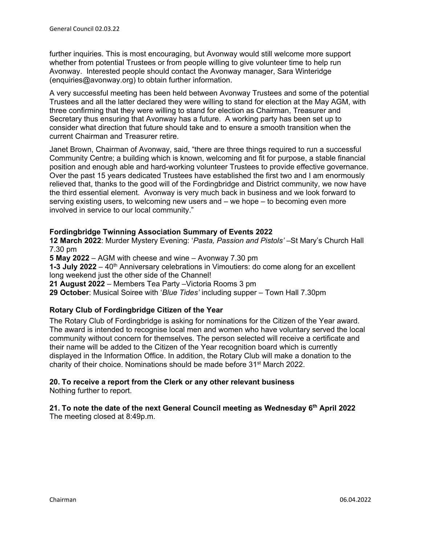further inquiries. This is most encouraging, but Avonway would still welcome more support whether from potential Trustees or from people willing to give volunteer time to help run Avonway. Interested people should contact the Avonway manager, Sara Winteridge (enquiries@avonway.org) to obtain further information.

A very successful meeting has been held between Avonway Trustees and some of the potential Trustees and all the latter declared they were willing to stand for election at the May AGM, with three confirming that they were willing to stand for election as Chairman, Treasurer and Secretary thus ensuring that Avonway has a future. A working party has been set up to consider what direction that future should take and to ensure a smooth transition when the current Chairman and Treasurer retire.

Janet Brown, Chairman of Avonway, said, "there are three things required to run a successful Community Centre; a building which is known, welcoming and fit for purpose, a stable financial position and enough able and hard-working volunteer Trustees to provide effective governance. Over the past 15 years dedicated Trustees have established the first two and I am enormously relieved that, thanks to the good will of the Fordingbridge and District community, we now have the third essential element. Avonway is very much back in business and we look forward to serving existing users, to welcoming new users and – we hope – to becoming even more involved in service to our local community."

# **Fordingbridge Twinning Association Summary of Events 2022**

**12 March 2022**: Murder Mystery Evening: '*Pasta, Passion and Pistols'* –St Mary's Church Hall 7.30 pm

**5 May 2022** – AGM with cheese and wine – Avonway 7.30 pm

**1-3 July 2022** – 40<sup>th</sup> Anniversary celebrations in Vimoutiers: do come along for an excellent long weekend just the other side of the Channel!

**21 August 2022** – Members Tea Party –Victoria Rooms 3 pm

**29 October**: Musical Soiree with '*Blue Tides'* including supper – Town Hall 7.30pm

# **Rotary Club of Fordingbridge Citizen of the Year**

The Rotary Club of Fordingbridge is asking for nominations for the Citizen of the Year award. The award is intended to recognise local men and women who have voluntary served the local community without concern for themselves. The person selected will receive a certificate and their name will be added to the Citizen of the Year recognition board which is currently displayed in the Information Office. In addition, the Rotary Club will make a donation to the charity of their choice. Nominations should be made before 31st March 2022.

# **20. To receive a report from the Clerk or any other relevant business**

Nothing further to report.

# **21. To note the date of the next General Council meeting as Wednesday 6th April 2022**

The meeting closed at 8:49p.m.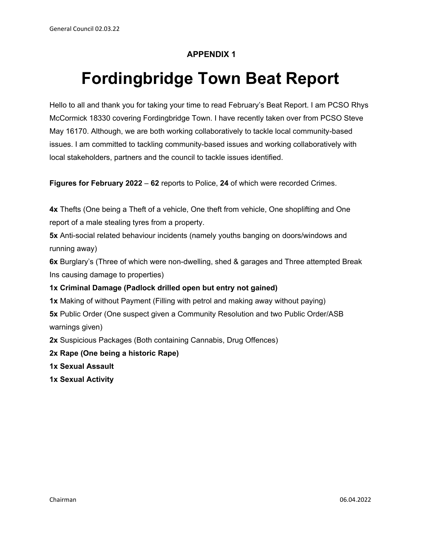# **APPENDIX 1**

# **Fordingbridge Town Beat Report**

Hello to all and thank you for taking your time to read February's Beat Report. I am PCSO Rhys McCormick 18330 covering Fordingbridge Town. I have recently taken over from PCSO Steve May 16170. Although, we are both working collaboratively to tackle local community-based issues. I am committed to tackling community-based issues and working collaboratively with local stakeholders, partners and the council to tackle issues identified.

**Figures for February 2022** – **62** reports to Police, **24** of which were recorded Crimes.

**4x** Thefts (One being a Theft of a vehicle, One theft from vehicle, One shoplifting and One report of a male stealing tyres from a property.

**5x** Anti-social related behaviour incidents (namely youths banging on doors/windows and running away)

**6x** Burglary's (Three of which were non-dwelling, shed & garages and Three attempted Break Ins causing damage to properties)

# **1x Criminal Damage (Padlock drilled open but entry not gained)**

**1x** Making of without Payment (Filling with petrol and making away without paying) **5x** Public Order (One suspect given a Community Resolution and two Public Order/ASB warnings given)

**2x** Suspicious Packages (Both containing Cannabis, Drug Offences)

**2x Rape (One being a historic Rape)** 

**1x Sexual Assault** 

**1x Sexual Activity**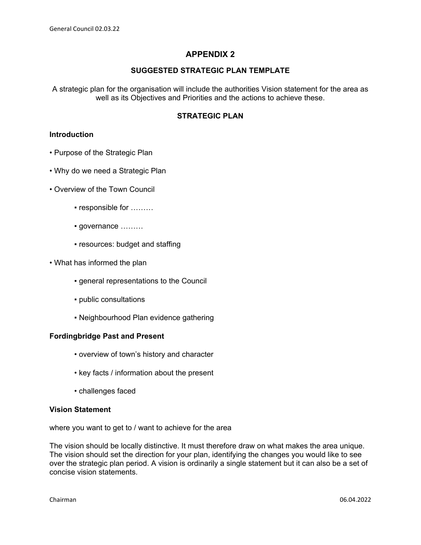# **APPENDIX 2**

#### **SUGGESTED STRATEGIC PLAN TEMPLATE**

A strategic plan for the organisation will include the authorities Vision statement for the area as well as its Objectives and Priorities and the actions to achieve these.

#### **STRATEGIC PLAN**

#### **Introduction**

- Purpose of the Strategic Plan
- Why do we need a Strategic Plan
- Overview of the Town Council
	- responsible for ………
	- governance ………
	- resources: budget and staffing
- What has informed the plan
	- general representations to the Council
	- public consultations
	- Neighbourhood Plan evidence gathering

#### **Fordingbridge Past and Present**

- overview of town's history and character
- key facts / information about the present
- challenges faced

#### **Vision Statement**

where you want to get to / want to achieve for the area

The vision should be locally distinctive. It must therefore draw on what makes the area unique. The vision should set the direction for your plan, identifying the changes you would like to see over the strategic plan period. A vision is ordinarily a single statement but it can also be a set of concise vision statements.